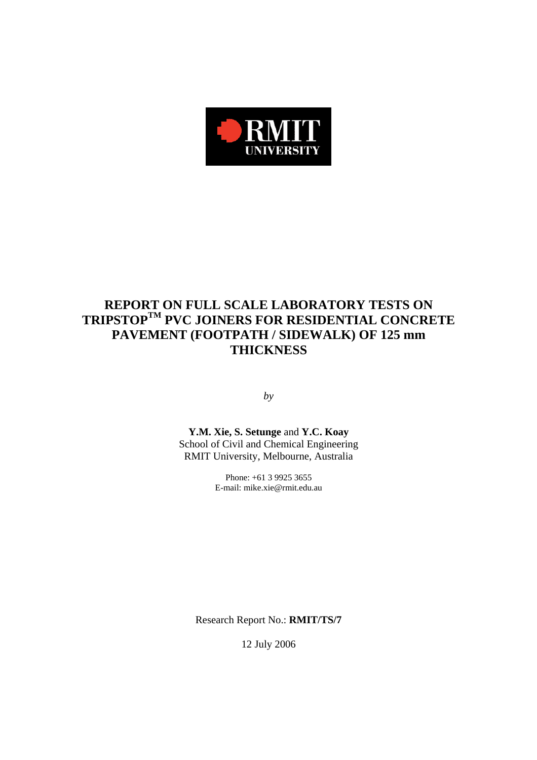

# **REPORT ON FULL SCALE LABORATORY TESTS ON TRIPSTOPTM PVC JOINERS FOR RESIDENTIAL CONCRETE PAVEMENT (FOOTPATH / SIDEWALK) OF 125 mm THICKNESS**

*by* 

**Y.M. Xie, S. Setunge** and **Y.C. Koay**  School of Civil and Chemical Engineering RMIT University, Melbourne, Australia

> Phone: +61 3 9925 3655 E-mail: mike.xie@rmit.edu.au

Research Report No.: **RMIT/TS/7**

12 July 2006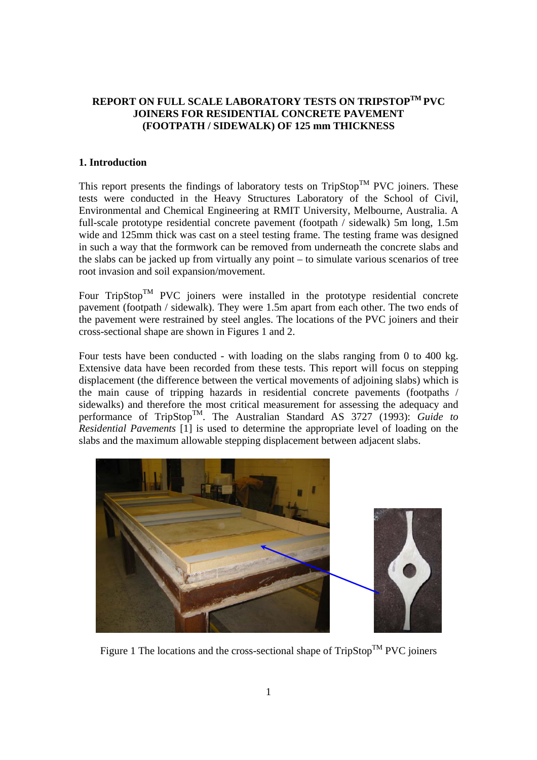# **REPORT ON FULL SCALE LABORATORY TESTS ON TRIPSTOPTM PVC JOINERS FOR RESIDENTIAL CONCRETE PAVEMENT (FOOTPATH / SIDEWALK) OF 125 mm THICKNESS**

## **1. Introduction**

This report presents the findings of laboratory tests on  $TripStop^{TM}$  PVC joiners. These tests were conducted in the Heavy Structures Laboratory of the School of Civil, Environmental and Chemical Engineering at RMIT University, Melbourne, Australia. A full-scale prototype residential concrete pavement (footpath / sidewalk) 5m long, 1.5m wide and 125mm thick was cast on a steel testing frame. The testing frame was designed in such a way that the formwork can be removed from underneath the concrete slabs and the slabs can be jacked up from virtually any point – to simulate various scenarios of tree root invasion and soil expansion/movement.

Four  $TripStop<sup>TM</sup> PVC$  joiners were installed in the prototype residential concrete pavement (footpath / sidewalk). They were 1.5m apart from each other. The two ends of the pavement were restrained by steel angles. The locations of the PVC joiners and their cross-sectional shape are shown in Figures 1 and 2.

Four tests have been conducted - with loading on the slabs ranging from 0 to 400 kg. Extensive data have been recorded from these tests. This report will focus on stepping displacement (the difference between the vertical movements of adjoining slabs) which is the main cause of tripping hazards in residential concrete pavements (footpaths / sidewalks) and therefore the most critical measurement for assessing the adequacy and performance of TripStopTM. The Australian Standard AS 3727 (1993): *Guide to Residential Pavements* [1] is used to determine the appropriate level of loading on the slabs and the maximum allowable stepping displacement between adjacent slabs.



Figure 1 The locations and the cross-sectional shape of  $TripStop^{TM}$  PVC joiners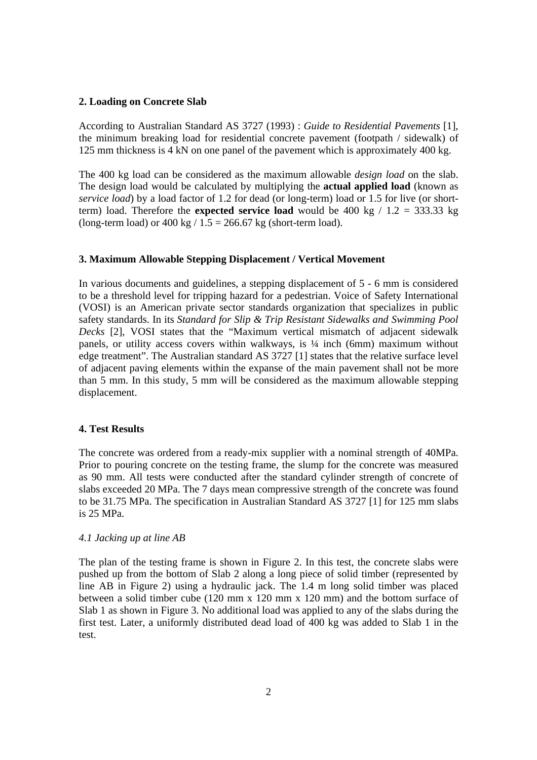### **2. Loading on Concrete Slab**

According to Australian Standard AS 3727 (1993) : *Guide to Residential Pavements* [1], the minimum breaking load for residential concrete pavement (footpath / sidewalk) of 125 mm thickness is 4 kN on one panel of the pavement which is approximately 400 kg.

The 400 kg load can be considered as the maximum allowable *design load* on the slab. The design load would be calculated by multiplying the **actual applied load** (known as *service load*) by a load factor of 1.2 for dead (or long-term) load or 1.5 for live (or shortterm) load. Therefore the **expected service load** would be 400 kg  $/ 1.2 = 333.33$  kg (long-term load) or  $400 \text{ kg}$  /  $1.5 = 266.67 \text{ kg}$  (short-term load).

#### **3. Maximum Allowable Stepping Displacement / Vertical Movement**

In various documents and guidelines, a stepping displacement of 5 - 6 mm is considered to be a threshold level for tripping hazard for a pedestrian. Voice of Safety International (VOSI) is an American private sector standards organization that specializes in public safety standards. In its *Standard for Slip & Trip Resistant Sidewalks and Swimming Pool Decks* [2], VOSI states that the "Maximum vertical mismatch of adjacent sidewalk panels, or utility access covers within walkways, is ¼ inch (6mm) maximum without edge treatment". The Australian standard AS 3727 [1] states that the relative surface level of adjacent paving elements within the expanse of the main pavement shall not be more than 5 mm. In this study, 5 mm will be considered as the maximum allowable stepping displacement.

### **4. Test Results**

The concrete was ordered from a ready-mix supplier with a nominal strength of 40MPa. Prior to pouring concrete on the testing frame, the slump for the concrete was measured as 90 mm. All tests were conducted after the standard cylinder strength of concrete of slabs exceeded 20 MPa. The 7 days mean compressive strength of the concrete was found to be 31.75 MPa. The specification in Australian Standard AS 3727 [1] for 125 mm slabs is 25 MPa.

# *4.1 Jacking up at line AB*

The plan of the testing frame is shown in Figure 2. In this test, the concrete slabs were pushed up from the bottom of Slab 2 along a long piece of solid timber (represented by line AB in Figure 2) using a hydraulic jack. The 1.4 m long solid timber was placed between a solid timber cube (120 mm x 120 mm x 120 mm) and the bottom surface of Slab 1 as shown in Figure 3. No additional load was applied to any of the slabs during the first test. Later, a uniformly distributed dead load of 400 kg was added to Slab 1 in the test.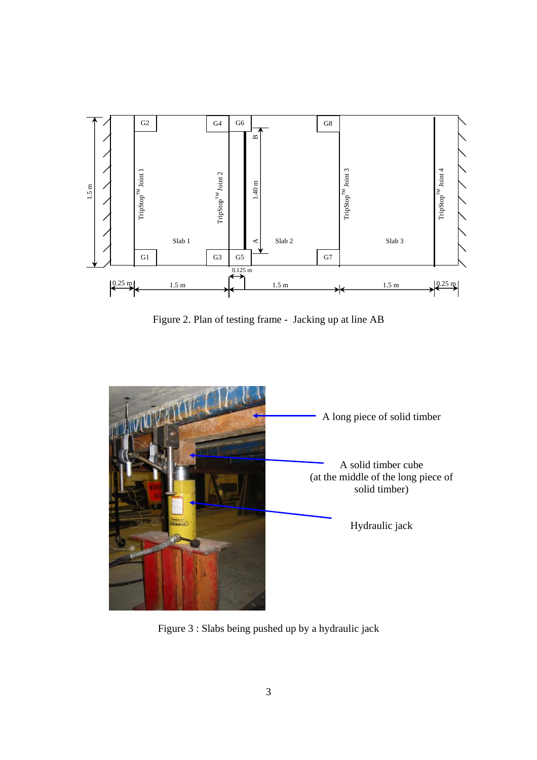

Figure 2. Plan of testing frame - Jacking up at line AB



Figure 3 : Slabs being pushed up by a hydraulic jack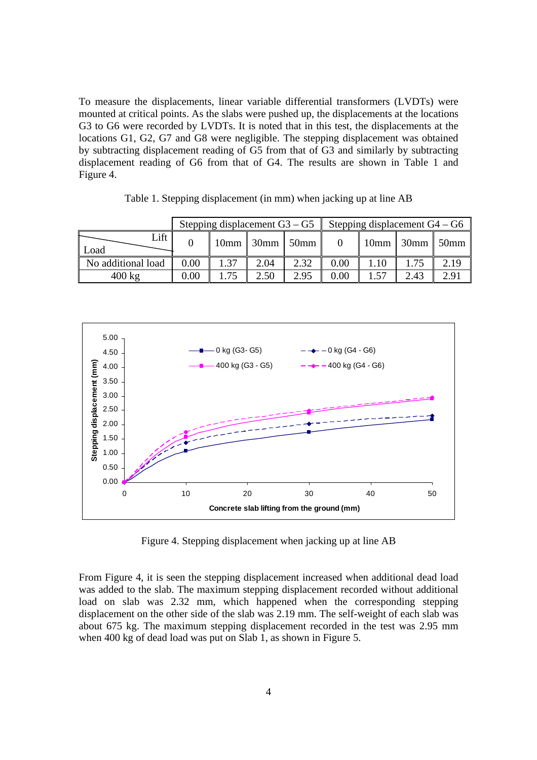To measure the displacements, linear variable differential transformers (LVDTs) were mounted at critical points. As the slabs were pushed up, the displacements at the locations G3 to G6 were recorded by LVDTs. It is noted that in this test, the displacements at the locations G1, G2, G7 and G8 were negligible. The stepping displacement was obtained by subtracting displacement reading of G5 from that of G3 and similarly by subtracting displacement reading of G6 from that of G4. The results are shown in Table 1 and Figure 4.

|                    |      | Stepping displacement $G3 - G5$ |      |                    | Stepping displacement $G4 - G6$ |      |                         |      |  |  |
|--------------------|------|---------------------------------|------|--------------------|---------------------------------|------|-------------------------|------|--|--|
| Lift<br>Load       |      |                                 |      | $10mm$ 30mm $50mm$ |                                 |      | $10mm$ 30mm $\sim$ 50mm |      |  |  |
| No additional load | 0.00 | 1.37                            | 2.04 | 2.32               | 0.00                            | 1.10 |                         | 2.19 |  |  |
| $400 \text{ kg}$   | 0.00 | 175                             | 2.50 | 2.95               | 0.00                            |      | 2.43                    | 2.91 |  |  |

Table 1. Stepping displacement (in mm) when jacking up at line AB



Figure 4. Stepping displacement when jacking up at line AB

From Figure 4, it is seen the stepping displacement increased when additional dead load was added to the slab. The maximum stepping displacement recorded without additional load on slab was 2.32 mm, which happened when the corresponding stepping displacement on the other side of the slab was 2.19 mm. The self-weight of each slab was about 675 kg. The maximum stepping displacement recorded in the test was 2.95 mm when 400 kg of dead load was put on Slab 1, as shown in Figure 5.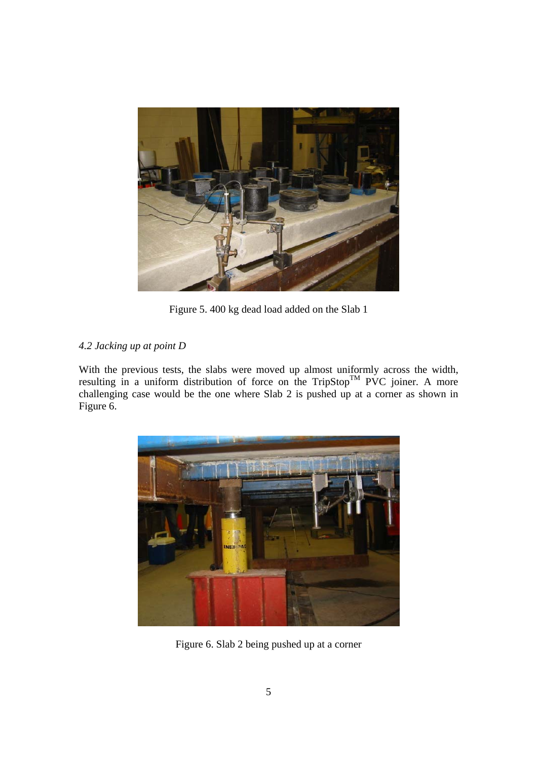

Figure 5. 400 kg dead load added on the Slab 1

# *4.2 Jacking up at point D*

With the previous tests, the slabs were moved up almost uniformly across the width, resulting in a uniform distribution of force on the TripStop<sup>TM</sup> PVC joiner. A more challenging case would be the one where Slab 2 is pushed up at a corner as shown in Figure 6.



Figure 6. Slab 2 being pushed up at a corner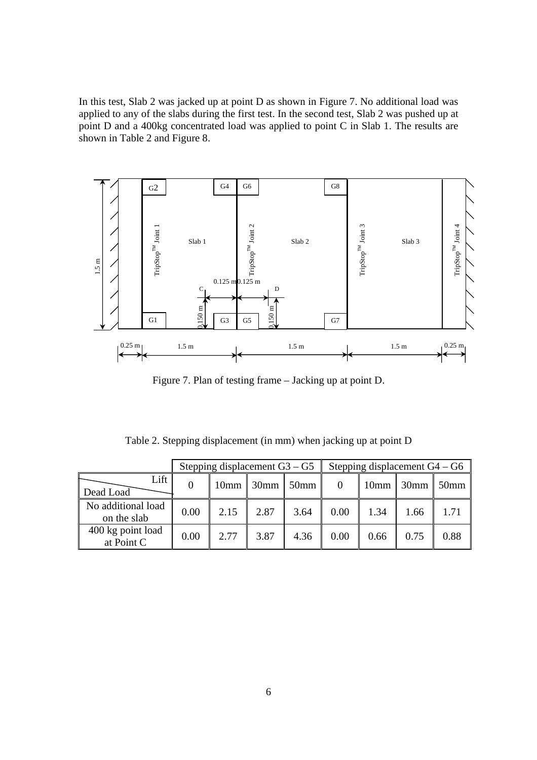In this test, Slab 2 was jacked up at point D as shown in Figure 7. No additional load was applied to any of the slabs during the first test. In the second test, Slab 2 was pushed up at point D and a 400kg concentrated load was applied to point C in Slab 1. The results are shown in Table 2 and Figure 8.



Figure 7. Plan of testing frame – Jacking up at point D.

Table 2. Stepping displacement (in mm) when jacking up at point D

|                                   |      | Stepping displacement $G3 - G5$ |                              |         | Stepping displacement $G4 - G6$ |      |             |                  |  |  |
|-----------------------------------|------|---------------------------------|------------------------------|---------|---------------------------------|------|-------------|------------------|--|--|
| Lift<br>Dead Load                 |      | 10mm                            | $\parallel$ 30mm $\parallel$ | $50$ mm |                                 |      | $10mm$ 30mm | 50 <sub>mm</sub> |  |  |
| No additional load<br>on the slab | 0.00 | 2.15                            | 2.87                         | 3.64    | 0.00                            | 1.34 | 1.66        | 1.71             |  |  |
| 400 kg point load<br>at Point C   | 0.00 | 2.77                            | 3.87                         | 4.36    | 0.00                            | 0.66 | 0.75        | 0.88             |  |  |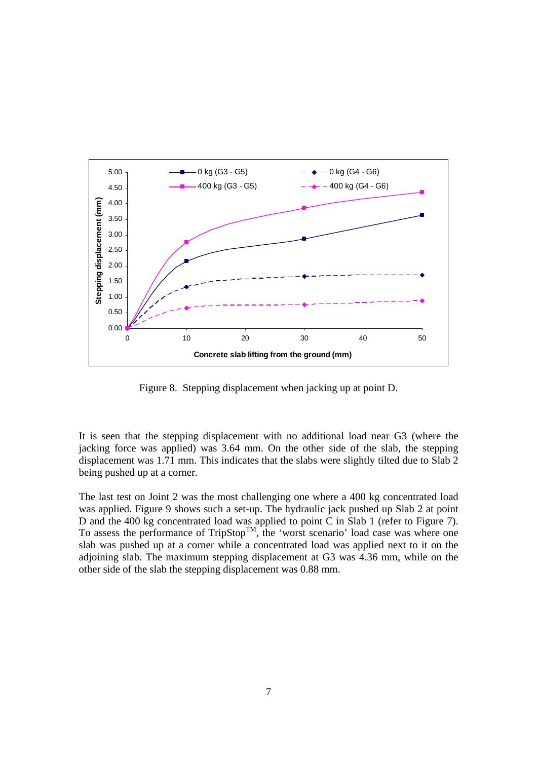

Figure 8. Stepping displacement when jacking up at point D.

It is seen that the stepping displacement with no additional load near G3 (where the jacking force was applied) was 3.64 mm. On the other side of the slab, the stepping displacement was 1.71 mm. This indicates that the slabs were slightly tilted due to Slab 2 being pushed up at a corner.

The last test on Joint 2 was the most challenging one where a 400 kg concentrated load was applied. Figure 9 shows such a set-up. The hydraulic jack pushed up Slab 2 at point D and the 400 kg concentrated load was applied to point C in Slab 1 (refer to Figure 7). To assess the performance of  $TripStop^{TM}$ , the 'worst scenario' load case was where one slab was pushed up at a corner while a concentrated load was applied next to it on the adjoining slab. The maximum stepping displacement at G3 was 4.36 mm, while on the other side of the slab the stepping displacement was 0.88 mm.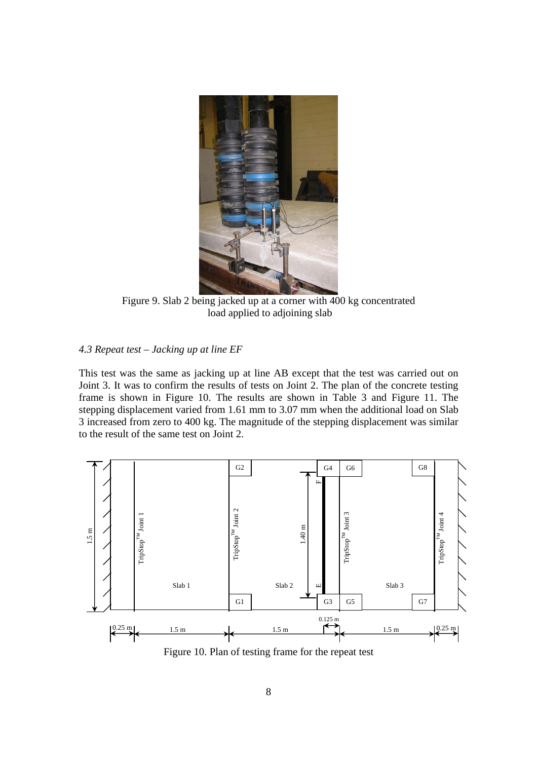

Figure 9. Slab 2 being jacked up at a corner with 400 kg concentrated load applied to adjoining slab

# *4.3 Repeat test – Jacking up at line EF*

This test was the same as jacking up at line AB except that the test was carried out on Joint 3. It was to confirm the results of tests on Joint 2. The plan of the concrete testing frame is shown in Figure 10. The results are shown in Table 3 and Figure 11. The stepping displacement varied from 1.61 mm to 3.07 mm when the additional load on Slab 3 increased from zero to 400 kg. The magnitude of the stepping displacement was similar to the result of the same test on Joint 2.



Figure 10. Plan of testing frame for the repeat test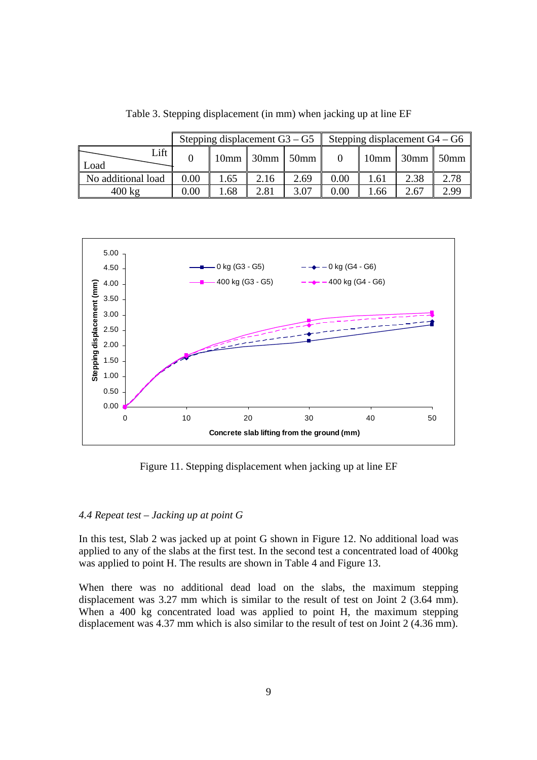|                    |      | Stepping displacement $G3 - G5$ |                                  |      | Stepping displacement $G4 - G6$ |      |                         |      |  |  |  |
|--------------------|------|---------------------------------|----------------------------------|------|---------------------------------|------|-------------------------|------|--|--|--|
| Lift<br>Load       |      |                                 | $10 \text{mm}$ 30mm $\vert$ 50mm |      |                                 |      | $10mm$ 30mm $\sim$ 50mm |      |  |  |  |
| No additional load | 0.00 | 1.65                            | 2.16                             | 2.69 | 0.00                            | 1.61 | 2.38                    | 2.78 |  |  |  |
| $400 \text{ kg}$   | 0.00 | 1.68                            | 2.81                             | 3.07 | 0.00                            | .66  | 2.67                    | 2.99 |  |  |  |

Table 3. Stepping displacement (in mm) when jacking up at line EF



Figure 11. Stepping displacement when jacking up at line EF

# *4.4 Repeat test – Jacking up at point G*

In this test, Slab 2 was jacked up at point G shown in Figure 12. No additional load was applied to any of the slabs at the first test. In the second test a concentrated load of 400kg was applied to point H. The results are shown in Table 4 and Figure 13.

When there was no additional dead load on the slabs, the maximum stepping displacement was 3.27 mm which is similar to the result of test on Joint 2 (3.64 mm). When a 400 kg concentrated load was applied to point H, the maximum stepping displacement was 4.37 mm which is also similar to the result of test on Joint 2 (4.36 mm).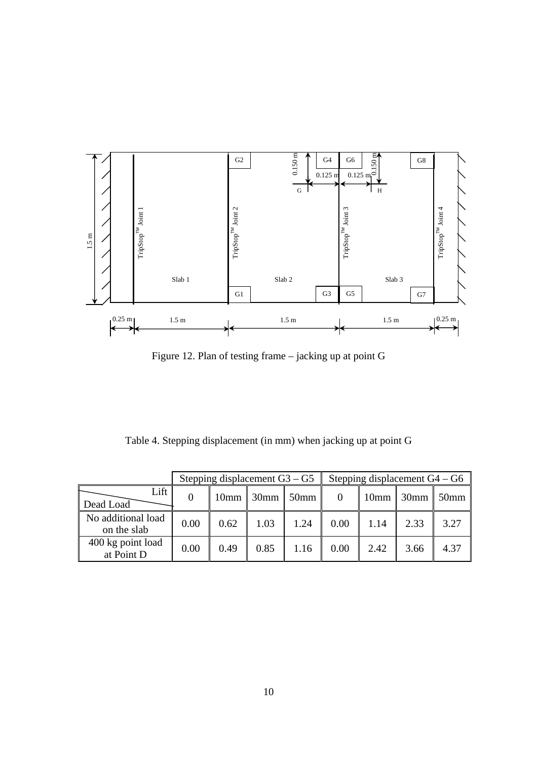

Figure 12. Plan of testing frame – jacking up at point G

Table 4. Stepping displacement (in mm) when jacking up at point G

|                                   |      | Stepping displacement $G3 - G5$ |             |         | Stepping displacement $G4 - G6$ |      |             |                  |  |  |
|-----------------------------------|------|---------------------------------|-------------|---------|---------------------------------|------|-------------|------------------|--|--|
| Lift<br>Dead Load                 |      |                                 | $10mm$ 30mm | $50$ mm |                                 |      | $10mm$ 30mm | 50 <sub>mm</sub> |  |  |
| No additional load<br>on the slab | 0.00 | 0.62                            | 1.03        | 1.24    | 0.00                            | 1.14 | 2.33        | 3.27             |  |  |
| 400 kg point load<br>at Point D   | 0.00 | 0.49                            | 0.85        | 1.16    | 0.00                            | 2.42 | 3.66        | 4.37             |  |  |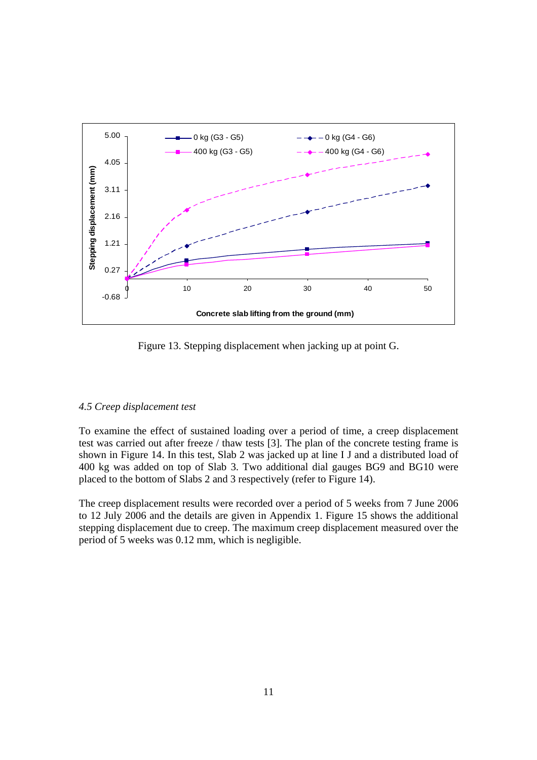

Figure 13. Stepping displacement when jacking up at point G.

# *4.5 Creep displacement test*

To examine the effect of sustained loading over a period of time, a creep displacement test was carried out after freeze / thaw tests [3]. The plan of the concrete testing frame is shown in Figure 14. In this test, Slab 2 was jacked up at line I J and a distributed load of 400 kg was added on top of Slab 3. Two additional dial gauges BG9 and BG10 were placed to the bottom of Slabs 2 and 3 respectively (refer to Figure 14).

The creep displacement results were recorded over a period of 5 weeks from 7 June 2006 to 12 July 2006 and the details are given in Appendix 1. Figure 15 shows the additional stepping displacement due to creep. The maximum creep displacement measured over the period of 5 weeks was 0.12 mm, which is negligible.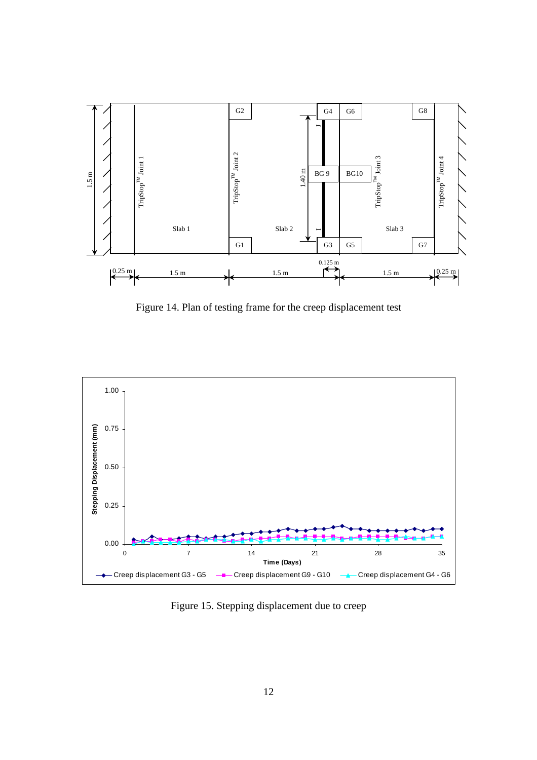

Figure 14. Plan of testing frame for the creep displacement test



Figure 15. Stepping displacement due to creep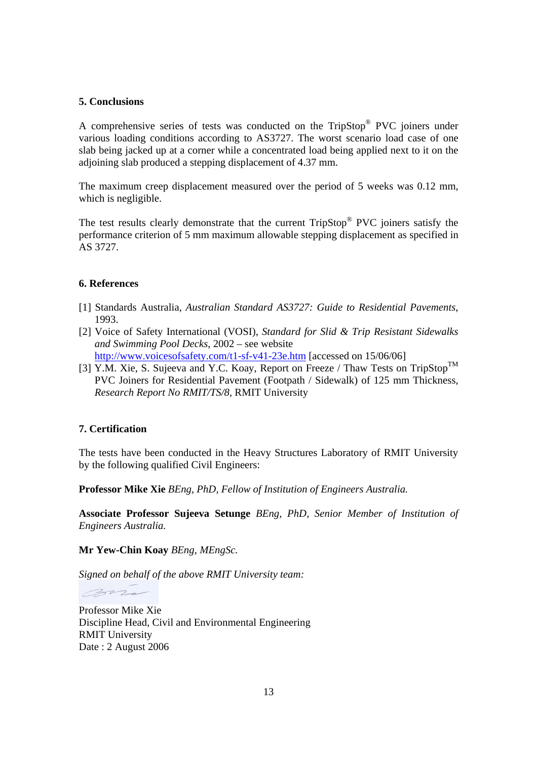# **5. Conclusions**

A comprehensive series of tests was conducted on the TripStop® PVC joiners under various loading conditions according to AS3727. The worst scenario load case of one slab being jacked up at a corner while a concentrated load being applied next to it on the adjoining slab produced a stepping displacement of 4.37 mm.

The maximum creep displacement measured over the period of 5 weeks was 0.12 mm, which is negligible.

The test results clearly demonstrate that the current TripStop<sup>®</sup> PVC joiners satisfy the performance criterion of 5 mm maximum allowable stepping displacement as specified in AS 3727.

# **6. References**

- [1] Standards Australia, *Australian Standard AS3727: Guide to Residential Pavements*, 1993.
- [2] Voice of Safety International (VOSI), *Standard for Slid & Trip Resistant Sidewalks and Swimming Pool Decks*, 2002 – see website http://www.voicesofsafety.com/t1-sf-v41-23e.htm [accessed on 15/06/06]
- [3] Y.M. Xie, S. Sujeeva and Y.C. Koay, Report on Freeze / Thaw Tests on TripStop<sup>TM</sup> PVC Joiners for Residential Pavement (Footpath / Sidewalk) of 125 mm Thickness, *Research Report No RMIT/TS/8,* RMIT University

# **7. Certification**

The tests have been conducted in the Heavy Structures Laboratory of RMIT University by the following qualified Civil Engineers:

**Professor Mike Xie** *BEng, PhD, Fellow of Institution of Engineers Australia.*

**Associate Professor Sujeeva Setunge** *BEng, PhD, Senior Member of Institution of Engineers Australia.*

**Mr Yew-Chin Koay** *BEng, MEngSc.*

*Signed on behalf of the above RMIT University team:* 

mars

Professor Mike Xie Discipline Head, Civil and Environmental Engineering RMIT University Date : 2 August 2006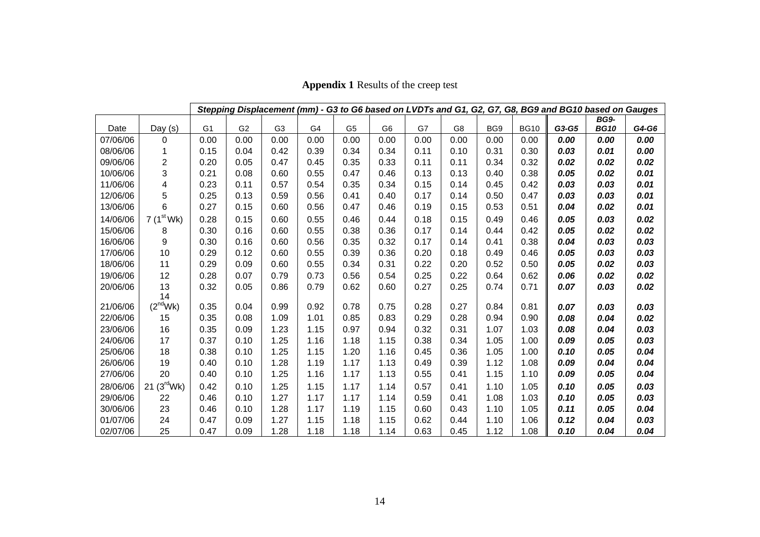|          |                         | Stepping Displacement (mm) - G3 to G6 based on LVDTs and G1, G2, G7, G8, BG9 and BG10 based on Gauges |                |                |      |                |                |      |      |      |             |       |             |       |
|----------|-------------------------|-------------------------------------------------------------------------------------------------------|----------------|----------------|------|----------------|----------------|------|------|------|-------------|-------|-------------|-------|
|          |                         |                                                                                                       |                |                |      |                |                |      |      |      |             |       | <b>BG9-</b> |       |
| Date     | Day (s)                 | G <sub>1</sub>                                                                                        | G <sub>2</sub> | G <sub>3</sub> | G4   | G <sub>5</sub> | G <sub>6</sub> | G7   | G8   | BG9  | <b>BG10</b> | G3-G5 | <b>BG10</b> | G4-G6 |
| 07/06/06 | 0                       | 0.00                                                                                                  | 0.00           | 0.00           | 0.00 | 0.00           | 0.00           | 0.00 | 0.00 | 0.00 | 0.00        | 0.00  | 0.00        | 0.00  |
| 08/06/06 |                         | 0.15                                                                                                  | 0.04           | 0.42           | 0.39 | 0.34           | 0.34           | 0.11 | 0.10 | 0.31 | 0.30        | 0.03  | 0.01        | 0.00  |
| 09/06/06 | $\overline{c}$          | 0.20                                                                                                  | 0.05           | 0.47           | 0.45 | 0.35           | 0.33           | 0.11 | 0.11 | 0.34 | 0.32        | 0.02  | 0.02        | 0.02  |
| 10/06/06 | 3                       | 0.21                                                                                                  | 0.08           | 0.60           | 0.55 | 0.47           | 0.46           | 0.13 | 0.13 | 0.40 | 0.38        | 0.05  | 0.02        | 0.01  |
| 11/06/06 | $\overline{\mathbf{4}}$ | 0.23                                                                                                  | 0.11           | 0.57           | 0.54 | 0.35           | 0.34           | 0.15 | 0.14 | 0.45 | 0.42        | 0.03  | 0.03        | 0.01  |
| 12/06/06 | 5                       | 0.25                                                                                                  | 0.13           | 0.59           | 0.56 | 0.41           | 0.40           | 0.17 | 0.14 | 0.50 | 0.47        | 0.03  | 0.03        | 0.01  |
| 13/06/06 | 6                       | 0.27                                                                                                  | 0.15           | 0.60           | 0.56 | 0.47           | 0.46           | 0.19 | 0.15 | 0.53 | 0.51        | 0.04  | 0.02        | 0.01  |
| 14/06/06 | $7(1^{st}$ Wk)          | 0.28                                                                                                  | 0.15           | 0.60           | 0.55 | 0.46           | 0.44           | 0.18 | 0.15 | 0.49 | 0.46        | 0.05  | 0.03        | 0.02  |
| 15/06/06 | 8                       | 0.30                                                                                                  | 0.16           | 0.60           | 0.55 | 0.38           | 0.36           | 0.17 | 0.14 | 0.44 | 0.42        | 0.05  | 0.02        | 0.02  |
| 16/06/06 | 9                       | 0.30                                                                                                  | 0.16           | 0.60           | 0.56 | 0.35           | 0.32           | 0.17 | 0.14 | 0.41 | 0.38        | 0.04  | 0.03        | 0.03  |
| 17/06/06 | 10                      | 0.29                                                                                                  | 0.12           | 0.60           | 0.55 | 0.39           | 0.36           | 0.20 | 0.18 | 0.49 | 0.46        | 0.05  | 0.03        | 0.03  |
| 18/06/06 | 11                      | 0.29                                                                                                  | 0.09           | 0.60           | 0.55 | 0.34           | 0.31           | 0.22 | 0.20 | 0.52 | 0.50        | 0.05  | 0.02        | 0.03  |
| 19/06/06 | 12                      | 0.28                                                                                                  | 0.07           | 0.79           | 0.73 | 0.56           | 0.54           | 0.25 | 0.22 | 0.64 | 0.62        | 0.06  | 0.02        | 0.02  |
| 20/06/06 | 13                      | 0.32                                                                                                  | 0.05           | 0.86           | 0.79 | 0.62           | 0.60           | 0.27 | 0.25 | 0.74 | 0.71        | 0.07  | 0.03        | 0.02  |
|          | 14                      |                                                                                                       |                |                |      |                |                |      |      |      |             |       |             |       |
| 21/06/06 | $(2^{nd}$ Wk $)$        | 0.35                                                                                                  | 0.04           | 0.99           | 0.92 | 0.78           | 0.75           | 0.28 | 0.27 | 0.84 | 0.81        | 0.07  | 0.03        | 0.03  |
| 22/06/06 | 15                      | 0.35                                                                                                  | 0.08           | 1.09           | 1.01 | 0.85           | 0.83           | 0.29 | 0.28 | 0.94 | 0.90        | 0.08  | 0.04        | 0.02  |
| 23/06/06 | 16                      | 0.35                                                                                                  | 0.09           | 1.23           | 1.15 | 0.97           | 0.94           | 0.32 | 0.31 | 1.07 | 1.03        | 0.08  | 0.04        | 0.03  |
| 24/06/06 | 17                      | 0.37                                                                                                  | 0.10           | 1.25           | 1.16 | 1.18           | 1.15           | 0.38 | 0.34 | 1.05 | 1.00        | 0.09  | 0.05        | 0.03  |
| 25/06/06 | 18                      | 0.38                                                                                                  | 0.10           | 1.25           | 1.15 | 1.20           | 1.16           | 0.45 | 0.36 | 1.05 | 1.00        | 0.10  | 0.05        | 0.04  |
| 26/06/06 | 19                      | 0.40                                                                                                  | 0.10           | 1.28           | 1.19 | 1.17           | 1.13           | 0.49 | 0.39 | 1.12 | 1.08        | 0.09  | 0.04        | 0.04  |
| 27/06/06 | 20                      | 0.40                                                                                                  | 0.10           | 1.25           | 1.16 | 1.17           | 1.13           | 0.55 | 0.41 | 1.15 | 1.10        | 0.09  | 0.05        | 0.04  |
| 28/06/06 | 21 $(3^{\text{rd}}$ Wk) | 0.42                                                                                                  | 0.10           | 1.25           | 1.15 | 1.17           | 1.14           | 0.57 | 0.41 | 1.10 | 1.05        | 0.10  | 0.05        | 0.03  |
| 29/06/06 | 22                      | 0.46                                                                                                  | 0.10           | 1.27           | 1.17 | 1.17           | 1.14           | 0.59 | 0.41 | 1.08 | 1.03        | 0.10  | 0.05        | 0.03  |
| 30/06/06 | 23                      | 0.46                                                                                                  | 0.10           | 1.28           | 1.17 | 1.19           | 1.15           | 0.60 | 0.43 | 1.10 | 1.05        | 0.11  | 0.05        | 0.04  |
| 01/07/06 | 24                      | 0.47                                                                                                  | 0.09           | 1.27           | 1.15 | 1.18           | 1.15           | 0.62 | 0.44 | 1.10 | 1.06        | 0.12  | 0.04        | 0.03  |
| 02/07/06 | 25                      | 0.47                                                                                                  | 0.09           | 1.28           | 1.18 | 1.18           | 1.14           | 0.63 | 0.45 | 1.12 | 1.08        | 0.10  | 0.04        | 0.04  |

**Appendix 1** Results of the creep test